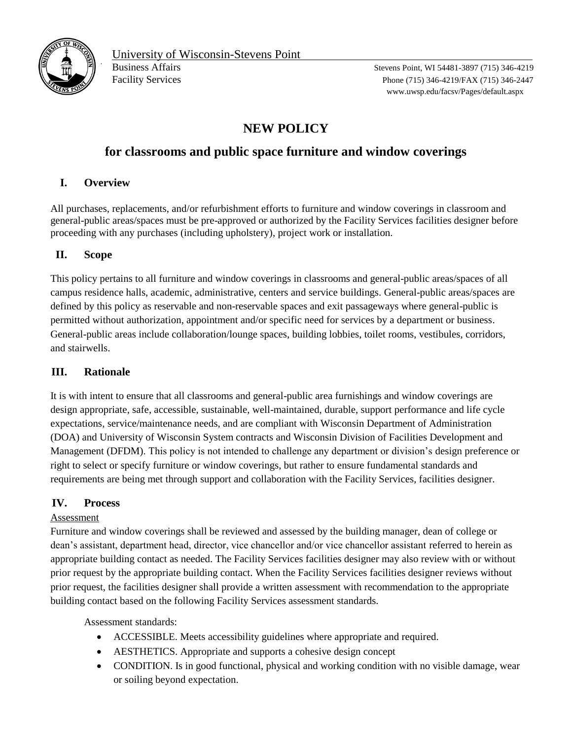

Facility Services Phone (715) 346-4219/FAX (715) 346-2447 www.uwsp.edu/facsv/Pages/default.aspx

# **NEW POLICY**

## **for classrooms and public space furniture and window coverings**

### **I. Overview**

All purchases, replacements, and/or refurbishment efforts to furniture and window coverings in classroom and general-public areas/spaces must be pre-approved or authorized by the Facility Services facilities designer before proceeding with any purchases (including upholstery), project work or installation.

#### **II. Scope**

This policy pertains to all furniture and window coverings in classrooms and general-public areas/spaces of all campus residence halls, academic, administrative, centers and service buildings. General-public areas/spaces are defined by this policy as reservable and non-reservable spaces and exit passageways where general-public is permitted without authorization, appointment and/or specific need for services by a department or business. General-public areas include collaboration/lounge spaces, building lobbies, toilet rooms, vestibules, corridors, and stairwells.

#### **III. Rationale**

It is with intent to ensure that all classrooms and general-public area furnishings and window coverings are design appropriate, safe, accessible, sustainable, well-maintained, durable, support performance and life cycle expectations, service/maintenance needs, and are compliant with Wisconsin Department of Administration (DOA) and University of Wisconsin System contracts and Wisconsin Division of Facilities Development and Management (DFDM). This policy is not intended to challenge any department or division's design preference or right to select or specify furniture or window coverings, but rather to ensure fundamental standards and requirements are being met through support and collaboration with the Facility Services, facilities designer.

#### **IV. Process**

#### Assessment

Furniture and window coverings shall be reviewed and assessed by the building manager, dean of college or dean's assistant, department head, director, vice chancellor and/or vice chancellor assistant referred to herein as appropriate building contact as needed. The Facility Services facilities designer may also review with or without prior request by the appropriate building contact. When the Facility Services facilities designer reviews without prior request, the facilities designer shall provide a written assessment with recommendation to the appropriate building contact based on the following Facility Services assessment standards.

Assessment standards:

- ACCESSIBLE. Meets accessibility guidelines where appropriate and required.
- AESTHETICS. Appropriate and supports a cohesive design concept
- CONDITION. Is in good functional, physical and working condition with no visible damage, wear or soiling beyond expectation.